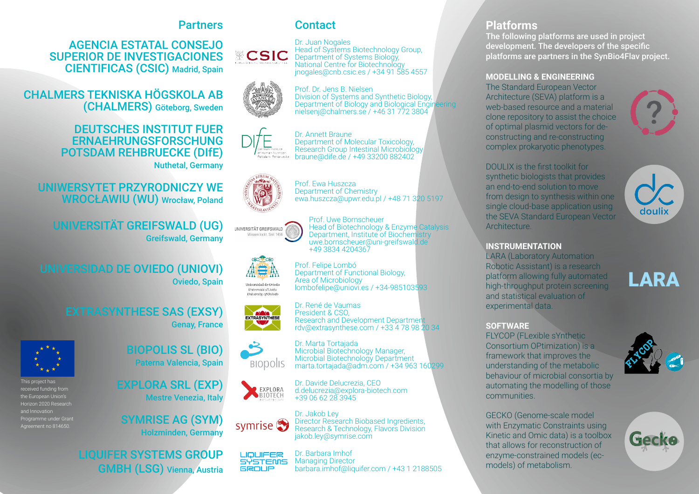## **Partners**

AGENCIA ESTATAL CONSEJO SUPERIOR DE INVESTIGACIONES CIENTIFICAS (CSIC) Madrid, Spain

CHALMERS TEKNISKA HÖGSKOLA AB (CHALMERS) Göteborg, Sweden

#### DEUTSCHES INSTITUT FUER ERNAEHRUNGSFORSCHUNG POTSDAM REHBRUECKE (DIfE) Nuthetal, Germany

UNIWERSYTET PRZYRODNICZY WE WROCłAWIU (WU) Wrocław, Poland

UNIVERSITÄT GREIFSWALD (UG) Greifswald, Germany

UNIVERSIDAD DE OVIEDO (UNIOVI) Oviedo, Spain

> EXTRASYNTHESE SAS (EXSY) Genay, France



This project has received funding from the European Union's Horizon 2020 Research and Innovation Programme under Grant Agreement no 814650.

BIOPOLIS SL (BIO) Paterna Valencia, Spain

EXPLORA SRL (EXP) Mestre Venezia, Italy

SYMRISE AG (SYM) Holzminden, Germany

LIQUIFER SYSTEMS GROUP GMBH (LSG) Vienna, Austria

# **Contact**

Prof. Dr. Jens B. Nielsen

Prof. Ewa Huszcza Department of Chemistry



















**BIODOILS** 

BIOTECH

Dr. Marta Tortajada Microbial Biotechnology Manager, Microbial Biotechnology Department marta.tortajada@adm.com / +34 963 160299

ewa.huszcza@upwr.edu.pl / +48 71 320 5197

Head of Biotechnology & Enzyme Catalysis Department, Institute of Biochemistry uwe.bornscheuer@uni-greifswald.de

Prof. Uwe Bornscheuer

Department of Functional Biology,

lombofelipe@uniovi.es / +34-985103593

Research and Development Department

+49 3834 4204367

Prof. Felipe Lombó

Area of Microbiology

Dr. René de Vaumas President & CSO,

Dr. Davide Delucrezia, CEO d.delucrezia@explora-biotech.com +39 06 62 28 3945





Dr. Barbara Imhof **LIQUIFER** Managing Director **SYSTEMS GROUP** barbara.imhof@liquifer.com / +43 1 2188505

### **Platforms**

The following platforms are used in project development. The developers of the specific platforms are partners in the SynBio4Flav project.

#### **MODELLING & ENGINEERING**

The Standard European Vector Architecture (SEVA) platform is a web-based resource and a material clone repository to assist the choice of optimal plasmid vectors for deconstructing and re-constructing complex prokaryotic phenotypes.



DOULIX is the first toolkit for synthetic biologists that provides an end-to-end solution to move from design to synthesis within one single cloud-base application using the SEVA Standard European Vector Architecture.



#### **INSTRUMENTATION**

LARA (Laboratory Automation Robotic Assistant) is a research platform allowing fully automated high-throughput protein screening and statistical evaluation of experimental data.

# LARA

#### **SOFTWARE**

FLYCOP (FLexible sYnthetic Consortium OPtimization) is a framework that improves the understanding of the metabolic behaviour of microbial consortia by automating the modelling of those communities.

GECKO (Genome-scale model with Enzymatic Constraints using Kinetic and Omic data) is a toolbox that allows for reconstruction of enzyme-constrained models (ecmodels) of metabolism.